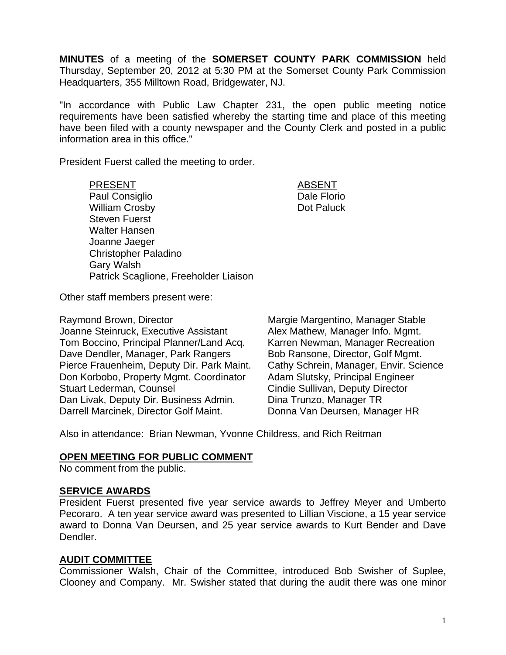**MINUTES** of a meeting of the **SOMERSET COUNTY PARK COMMISSION** held Thursday, September 20, 2012 at 5:30 PM at the Somerset County Park Commission Headquarters, 355 Milltown Road, Bridgewater, NJ.

"In accordance with Public Law Chapter 231, the open public meeting notice requirements have been satisfied whereby the starting time and place of this meeting have been filed with a county newspaper and the County Clerk and posted in a public information area in this office."

President Fuerst called the meeting to order.

PRESENT ABSENT Paul Consiglio **Dale Florio** Dale Florio William Crosby **Dot Paluck** Steven Fuerst Walter Hansen Joanne Jaeger Christopher Paladino Gary Walsh Patrick Scaglione, Freeholder Liaison

Other staff members present were:

Raymond Brown, Director **Margie Margentino, Manager Stable** Joanne Steinruck, Executive Assistant Alex Mathew, Manager Info. Mgmt. Tom Boccino, Principal Planner/Land Acq. Karren Newman, Manager Recreation Dave Dendler, Manager, Park Rangers Bob Ransone, Director, Golf Mgmt. Pierce Frauenheim, Deputy Dir. Park Maint. Cathy Schrein, Manager, Envir. Science Don Korbobo, Property Mgmt. Coordinator Adam Slutsky, Principal Engineer Stuart Lederman, Counsel **Conserverse Constant Conserverse Cindie Sullivan, Deputy Director** Dan Livak, Deputy Dir. Business Admin. Dina Trunzo, Manager TR Darrell Marcinek, Director Golf Maint. Donna Van Deursen, Manager HR

Also in attendance: Brian Newman, Yvonne Childress, and Rich Reitman

### **OPEN MEETING FOR PUBLIC COMMENT**

No comment from the public.

### **SERVICE AWARDS**

President Fuerst presented five year service awards to Jeffrey Meyer and Umberto Pecoraro. A ten year service award was presented to Lillian Viscione, a 15 year service award to Donna Van Deursen, and 25 year service awards to Kurt Bender and Dave Dendler.

#### **AUDIT COMMITTEE**

Commissioner Walsh, Chair of the Committee, introduced Bob Swisher of Suplee, Clooney and Company. Mr. Swisher stated that during the audit there was one minor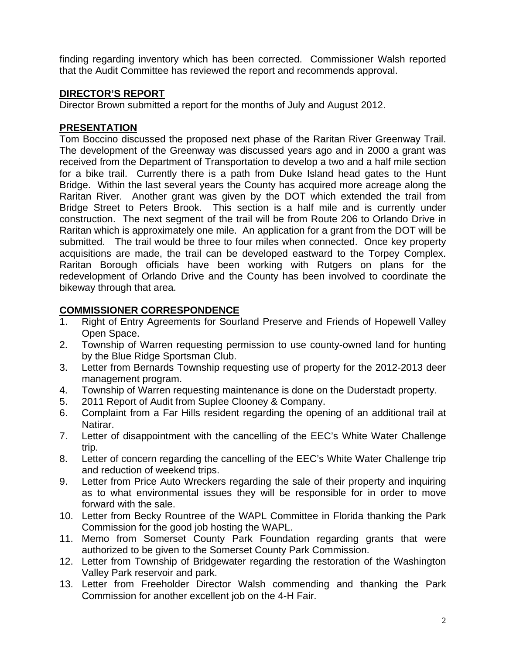finding regarding inventory which has been corrected. Commissioner Walsh reported that the Audit Committee has reviewed the report and recommends approval.

# **DIRECTOR'S REPORT**

Director Brown submitted a report for the months of July and August 2012.

## **PRESENTATION**

Tom Boccino discussed the proposed next phase of the Raritan River Greenway Trail. The development of the Greenway was discussed years ago and in 2000 a grant was received from the Department of Transportation to develop a two and a half mile section for a bike trail. Currently there is a path from Duke Island head gates to the Hunt Bridge. Within the last several years the County has acquired more acreage along the Raritan River. Another grant was given by the DOT which extended the trail from Bridge Street to Peters Brook. This section is a half mile and is currently under construction. The next segment of the trail will be from Route 206 to Orlando Drive in Raritan which is approximately one mile. An application for a grant from the DOT will be submitted. The trail would be three to four miles when connected. Once key property acquisitions are made, the trail can be developed eastward to the Torpey Complex. Raritan Borough officials have been working with Rutgers on plans for the redevelopment of Orlando Drive and the County has been involved to coordinate the bikeway through that area.

# **COMMISSIONER CORRESPONDENCE**

- 1. Right of Entry Agreements for Sourland Preserve and Friends of Hopewell Valley Open Space.
- 2. Township of Warren requesting permission to use county-owned land for hunting by the Blue Ridge Sportsman Club.
- 3. Letter from Bernards Township requesting use of property for the 2012-2013 deer management program.
- 4. Township of Warren requesting maintenance is done on the Duderstadt property.
- 5. 2011 Report of Audit from Suplee Clooney & Company.
- 6. Complaint from a Far Hills resident regarding the opening of an additional trail at Natirar.
- 7. Letter of disappointment with the cancelling of the EEC's White Water Challenge trip.
- 8. Letter of concern regarding the cancelling of the EEC's White Water Challenge trip and reduction of weekend trips.
- 9. Letter from Price Auto Wreckers regarding the sale of their property and inquiring as to what environmental issues they will be responsible for in order to move forward with the sale.
- 10. Letter from Becky Rountree of the WAPL Committee in Florida thanking the Park Commission for the good job hosting the WAPL.
- 11. Memo from Somerset County Park Foundation regarding grants that were authorized to be given to the Somerset County Park Commission.
- 12. Letter from Township of Bridgewater regarding the restoration of the Washington Valley Park reservoir and park.
- 13. Letter from Freeholder Director Walsh commending and thanking the Park Commission for another excellent job on the 4-H Fair.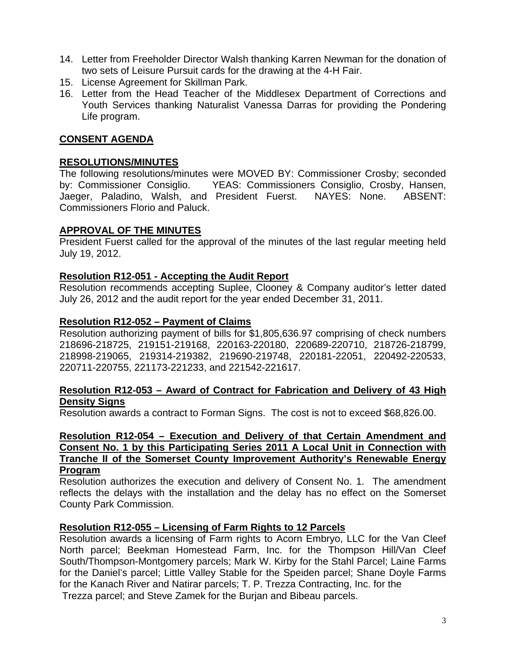- 14. Letter from Freeholder Director Walsh thanking Karren Newman for the donation of two sets of Leisure Pursuit cards for the drawing at the 4-H Fair.
- 15. License Agreement for Skillman Park.
- 16. Letter from the Head Teacher of the Middlesex Department of Corrections and Youth Services thanking Naturalist Vanessa Darras for providing the Pondering Life program.

## **CONSENT AGENDA**

### **RESOLUTIONS/MINUTES**

The following resolutions/minutes were MOVED BY: Commissioner Crosby; seconded by: Commissioner Consiglio. YEAS: Commissioners Consiglio, Crosby, Hansen, Jaeger, Paladino, Walsh, and President Fuerst. NAYES: None. ABSENT: Commissioners Florio and Paluck.

#### **APPROVAL OF THE MINUTES**

President Fuerst called for the approval of the minutes of the last regular meeting held July 19, 2012.

#### **Resolution R12-051 - Accepting the Audit Report**

Resolution recommends accepting Suplee, Clooney & Company auditor's letter dated July 26, 2012 and the audit report for the year ended December 31, 2011.

#### **Resolution R12-052 – Payment of Claims**

Resolution authorizing payment of bills for \$1,805,636.97 comprising of check numbers 218696-218725, 219151-219168, 220163-220180, 220689-220710, 218726-218799, 218998-219065, 219314-219382, 219690-219748, 220181-22051, 220492-220533, 220711-220755, 221173-221233, and 221542-221617.

#### **Resolution R12-053 – Award of Contract for Fabrication and Delivery of 43 High Density Signs**

Resolution awards a contract to Forman Signs. The cost is not to exceed \$68,826.00.

### **Resolution R12-054 – Execution and Delivery of that Certain Amendment and Consent No. 1 by this Participating Series 2011 A Local Unit in Connection with Tranche II of the Somerset County Improvement Authority's Renewable Energy Program**

Resolution authorizes the execution and delivery of Consent No. 1. The amendment reflects the delays with the installation and the delay has no effect on the Somerset County Park Commission.

### **Resolution R12-055 – Licensing of Farm Rights to 12 Parcels**

Resolution awards a licensing of Farm rights to Acorn Embryo, LLC for the Van Cleef North parcel; Beekman Homestead Farm, Inc. for the Thompson Hill/Van Cleef South/Thompson-Montgomery parcels; Mark W. Kirby for the Stahl Parcel; Laine Farms for the Daniel's parcel; Little Valley Stable for the Speiden parcel; Shane Doyle Farms for the Kanach River and Natirar parcels; T. P. Trezza Contracting, Inc. for the Trezza parcel; and Steve Zamek for the Burjan and Bibeau parcels.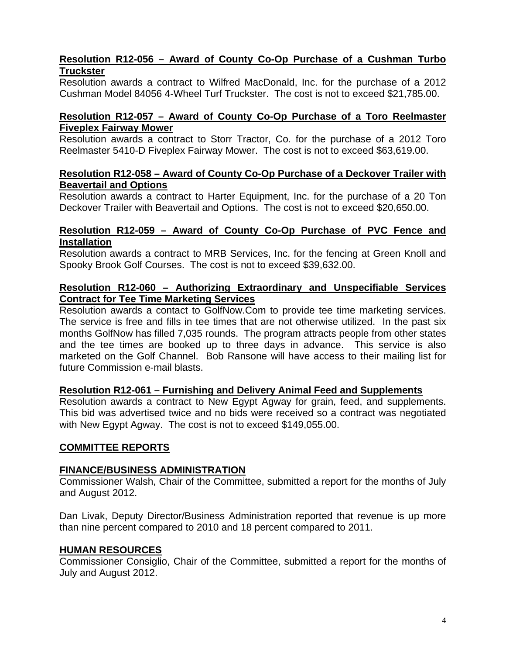## **Resolution R12-056 – Award of County Co-Op Purchase of a Cushman Turbo Truckster**

Resolution awards a contract to Wilfred MacDonald, Inc. for the purchase of a 2012 Cushman Model 84056 4-Wheel Turf Truckster. The cost is not to exceed \$21,785.00.

### **Resolution R12-057 – Award of County Co-Op Purchase of a Toro Reelmaster Fiveplex Fairway Mower**

Resolution awards a contract to Storr Tractor, Co. for the purchase of a 2012 Toro Reelmaster 5410-D Fiveplex Fairway Mower. The cost is not to exceed \$63,619.00.

### **Resolution R12-058 – Award of County Co-Op Purchase of a Deckover Trailer with Beavertail and Options**

Resolution awards a contract to Harter Equipment, Inc. for the purchase of a 20 Ton Deckover Trailer with Beavertail and Options. The cost is not to exceed \$20,650.00.

#### **Resolution R12-059 – Award of County Co-Op Purchase of PVC Fence and Installation**

Resolution awards a contract to MRB Services, Inc. for the fencing at Green Knoll and Spooky Brook Golf Courses. The cost is not to exceed \$39,632.00.

### **Resolution R12-060 – Authorizing Extraordinary and Unspecifiable Services Contract for Tee Time Marketing Services**

Resolution awards a contact to GolfNow.Com to provide tee time marketing services. The service is free and fills in tee times that are not otherwise utilized. In the past six months GolfNow has filled 7,035 rounds. The program attracts people from other states and the tee times are booked up to three days in advance. This service is also marketed on the Golf Channel. Bob Ransone will have access to their mailing list for future Commission e-mail blasts.

### **Resolution R12-061 – Furnishing and Delivery Animal Feed and Supplements**

Resolution awards a contract to New Egypt Agway for grain, feed, and supplements. This bid was advertised twice and no bids were received so a contract was negotiated with New Egypt Agway. The cost is not to exceed \$149,055.00.

### **COMMITTEE REPORTS**

### **FINANCE/BUSINESS ADMINISTRATION**

Commissioner Walsh, Chair of the Committee, submitted a report for the months of July and August 2012.

Dan Livak, Deputy Director/Business Administration reported that revenue is up more than nine percent compared to 2010 and 18 percent compared to 2011.

### **HUMAN RESOURCES**

Commissioner Consiglio, Chair of the Committee, submitted a report for the months of July and August 2012.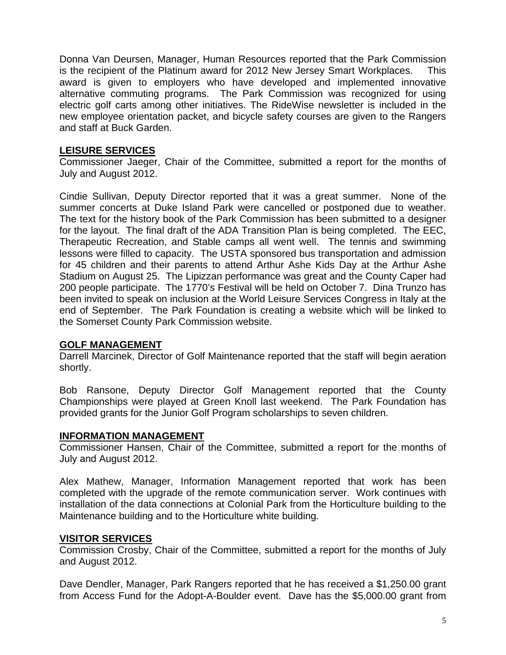Donna Van Deursen, Manager, Human Resources reported that the Park Commission is the recipient of the Platinum award for 2012 New Jersey Smart Workplaces. This award is given to employers who have developed and implemented innovative alternative commuting programs. The Park Commission was recognized for using electric golf carts among other initiatives. The RideWise newsletter is included in the new employee orientation packet, and bicycle safety courses are given to the Rangers and staff at Buck Garden.

## **LEISURE SERVICES**

Commissioner Jaeger, Chair of the Committee, submitted a report for the months of July and August 2012.

Cindie Sullivan, Deputy Director reported that it was a great summer. None of the summer concerts at Duke Island Park were cancelled or postponed due to weather. The text for the history book of the Park Commission has been submitted to a designer for the layout. The final draft of the ADA Transition Plan is being completed. The EEC, Therapeutic Recreation, and Stable camps all went well. The tennis and swimming lessons were filled to capacity. The USTA sponsored bus transportation and admission for 45 children and their parents to attend Arthur Ashe Kids Day at the Arthur Ashe Stadium on August 25. The Lipizzan performance was great and the County Caper had 200 people participate. The 1770's Festival will be held on October 7. Dina Trunzo has been invited to speak on inclusion at the World Leisure Services Congress in Italy at the end of September. The Park Foundation is creating a website which will be linked to the Somerset County Park Commission website.

## **GOLF MANAGEMENT**

Darrell Marcinek, Director of Golf Maintenance reported that the staff will begin aeration shortly.

Bob Ransone, Deputy Director Golf Management reported that the County Championships were played at Green Knoll last weekend. The Park Foundation has provided grants for the Junior Golf Program scholarships to seven children.

## **INFORMATION MANAGEMENT**

Commissioner Hansen, Chair of the Committee, submitted a report for the months of July and August 2012.

Alex Mathew, Manager, Information Management reported that work has been completed with the upgrade of the remote communication server. Work continues with installation of the data connections at Colonial Park from the Horticulture building to the Maintenance building and to the Horticulture white building.

# **VISITOR SERVICES**

Commission Crosby, Chair of the Committee, submitted a report for the months of July and August 2012.

Dave Dendler, Manager, Park Rangers reported that he has received a \$1,250.00 grant from Access Fund for the Adopt-A-Boulder event. Dave has the \$5,000.00 grant from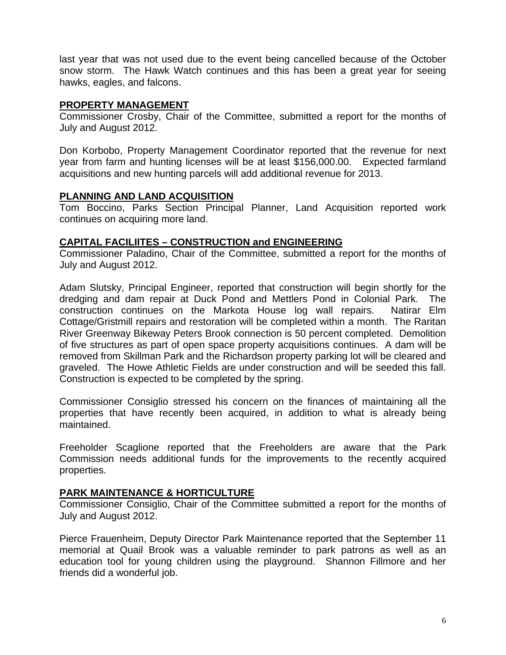last year that was not used due to the event being cancelled because of the October snow storm. The Hawk Watch continues and this has been a great year for seeing hawks, eagles, and falcons.

### **PROPERTY MANAGEMENT**

Commissioner Crosby, Chair of the Committee, submitted a report for the months of July and August 2012.

Don Korbobo, Property Management Coordinator reported that the revenue for next year from farm and hunting licenses will be at least \$156,000.00. Expected farmland acquisitions and new hunting parcels will add additional revenue for 2013.

## **PLANNING AND LAND ACQUISITION**

Tom Boccino, Parks Section Principal Planner, Land Acquisition reported work continues on acquiring more land.

## **CAPITAL FACILIITES – CONSTRUCTION and ENGINEERING**

Commissioner Paladino, Chair of the Committee, submitted a report for the months of July and August 2012.

Adam Slutsky, Principal Engineer, reported that construction will begin shortly for the dredging and dam repair at Duck Pond and Mettlers Pond in Colonial Park. The construction continues on the Markota House log wall repairs. Natirar Elm Cottage/Gristmill repairs and restoration will be completed within a month. The Raritan River Greenway Bikeway Peters Brook connection is 50 percent completed. Demolition of five structures as part of open space property acquisitions continues. A dam will be removed from Skillman Park and the Richardson property parking lot will be cleared and graveled. The Howe Athletic Fields are under construction and will be seeded this fall. Construction is expected to be completed by the spring.

Commissioner Consiglio stressed his concern on the finances of maintaining all the properties that have recently been acquired, in addition to what is already being maintained.

Freeholder Scaglione reported that the Freeholders are aware that the Park Commission needs additional funds for the improvements to the recently acquired properties.

## **PARK MAINTENANCE & HORTICULTURE**

Commissioner Consiglio, Chair of the Committee submitted a report for the months of July and August 2012.

Pierce Frauenheim, Deputy Director Park Maintenance reported that the September 11 memorial at Quail Brook was a valuable reminder to park patrons as well as an education tool for young children using the playground. Shannon Fillmore and her friends did a wonderful job.